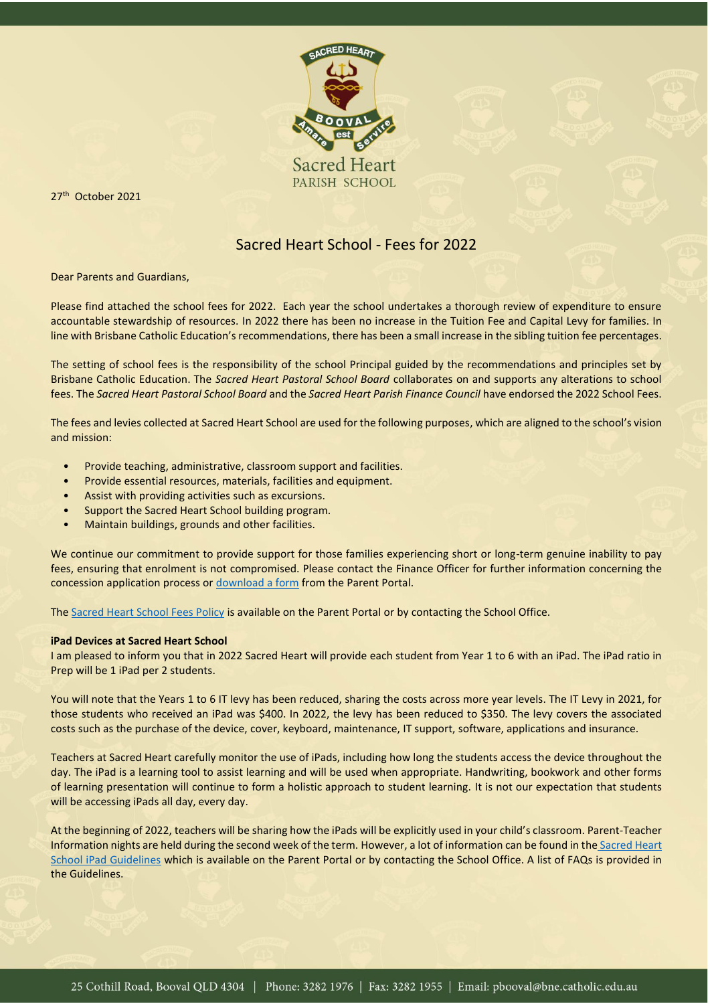

PARISH SCHOOL

27<sup>th</sup> October 2021

# Sacred Heart School - Fees for 2022

Dear Parents and Guardians,

Please find attached the school fees for 2022. Each year the school undertakes a thorough review of expenditure to ensure accountable stewardship of resources. In 2022 there has been no increase in the Tuition Fee and Capital Levy for families. In line with Brisbane Catholic Education's recommendations, there has been a small increase in the sibling tuition fee percentages.

The setting of school fees is the responsibility of the school Principal guided by the recommendations and principles set by Brisbane Catholic Education. The *Sacred Heart Pastoral School Board* collaborates on and supports any alterations to school fees. The *Sacred Heart Pastoral School Board* and the *Sacred Heart Parish Finance Council* have endorsed the 2022 School Fees.

The fees and levies collected at Sacred Heart School are used for the following purposes, which are aligned to the school's vision and mission:

- Provide teaching, administrative, classroom support and facilities.
- Provide essential resources, materials, facilities and equipment.
- Assist with providing activities such as excursions.
- Support the Sacred Heart School building program.
- Maintain buildings, grounds and other facilities.

We continue our commitment to provide support for those families experiencing short or long-term genuine inability to pay fees, ensuring that enrolment is not compromised. Please contact the Finance Officer for further information concerning the concession application process or [download a form](https://extranet16.bne.catholic.edu.au/parent/shbooval/ourschool/Lists/Forms%20and%20Documents/Application%20for%20Concession%20on%20Fees.pdf) from the Parent Portal.

The [Sacred Heart School Fees Policy](https://extranet16.bne.catholic.edu.au/parent/shbooval/ourschool/Lists/Forms%20and%20Documents/Sacred%20Heart%20School%20-%20School%20Fee%20Policy.pdf) is available on the Parent Portal or by contacting the School Office.

#### **iPad Devices at Sacred Heart School**

I am pleased to inform you that in 2022 Sacred Heart will provide each student from Year 1 to 6 with an iPad. The iPad ratio in Prep will be 1 iPad per 2 students.

You will note that the Years 1 to 6 IT levy has been reduced, sharing the costs across more year levels. The IT Levy in 2021, for those students who received an iPad was \$400. In 2022, the levy has been reduced to \$350. The levy covers the associated costs such as the purchase of the device, cover, keyboard, maintenance, IT support, software, applications and insurance.

Teachers at Sacred Heart carefully monitor the use of iPads, including how long the students access the device throughout the day. The iPad is a learning tool to assist learning and will be used when appropriate. Handwriting, bookwork and other forms of learning presentation will continue to form a holistic approach to student learning. It is not our expectation that students will be accessing iPads all day, every day.

At the beginning of 2022, teachers will be sharing how the iPads will be explicitly used in your child's classroom. Parent-Teacher Information nights are held during the second week of the term. However, a lot of information can be found in the [Sacred Heart](https://extranet16.bne.catholic.edu.au/parent/shbooval/ourschool/Lists/Forms%20and%20Documents/1%20to%201%20iPad%20Student%20and%20Parent%20Guidelines%20Booklet%20(Updated%202021).pdf)  [School iPad Guidelines](https://extranet16.bne.catholic.edu.au/parent/shbooval/ourschool/Lists/Forms%20and%20Documents/1%20to%201%20iPad%20Student%20and%20Parent%20Guidelines%20Booklet%20(Updated%202021).pdf) which is available on the Parent Portal or by contacting the School Office. A list of FAQs is provided in the Guidelines.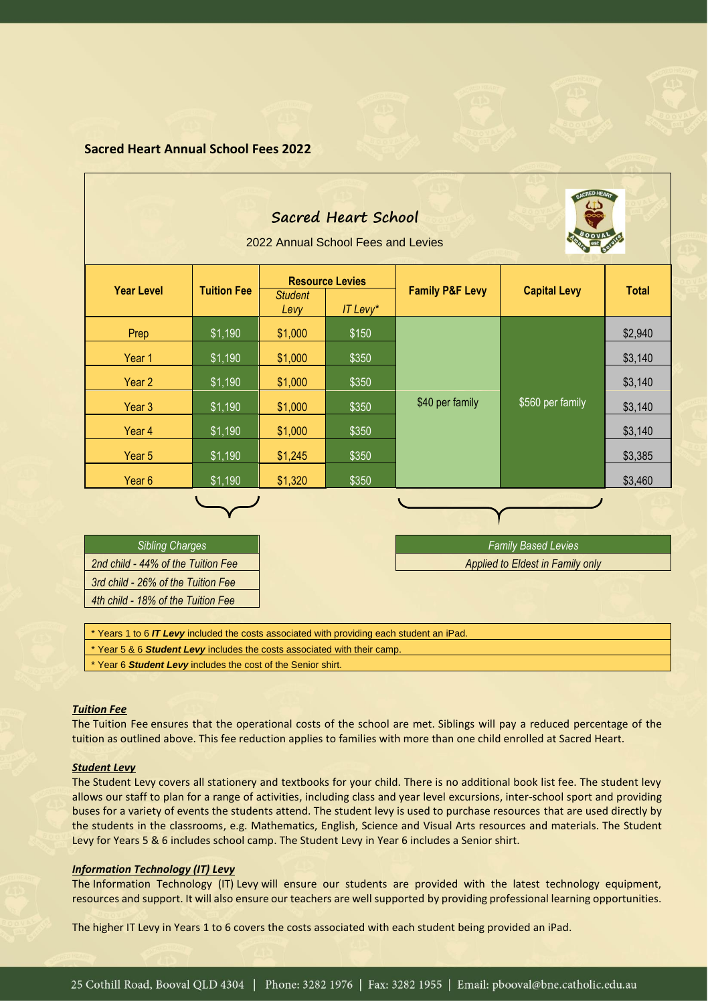# **Sacred Heart Annual School Fees 2022**

| <b>ACRED HEARY</b><br>Sacred Heart School<br>2022 Annual School Fees and Levies |                    |                        |                                    |                            |                     |              |
|---------------------------------------------------------------------------------|--------------------|------------------------|------------------------------------|----------------------------|---------------------|--------------|
| <b>Year Level</b>                                                               | <b>Tuition Fee</b> | <b>Student</b><br>Levy | <b>Resource Levies</b><br>IT Levy* | <b>Family P&amp;F Levy</b> | <b>Capital Levy</b> | <b>Total</b> |
| Prep                                                                            | \$1,190            | \$1,000                | \$150                              |                            | \$560 per family    | \$2,940      |
| Year 1                                                                          | \$1,190            | \$1,000                | \$350                              |                            |                     | \$3,140      |
| Year 2                                                                          | \$1,190            | \$1,000                | \$350                              |                            |                     | \$3,140      |
| Year 3                                                                          | \$1,190            | \$1,000                | \$350                              | \$40 per family            |                     | \$3,140      |
| Year 4                                                                          | \$1,190            | \$1,000                | \$350                              |                            |                     | \$3,140      |
| Year 5                                                                          | \$1,190            | \$1,245                | \$350                              |                            |                     | \$3,385      |
| Year <sub>6</sub>                                                               | \$1,190            | \$1,320                | \$350                              |                            |                     | \$3,460      |
|                                                                                 |                    |                        |                                    |                            |                     |              |

*2nd child - 44% of the Tuition Fee Applied to Eldest in Family only 3rd child - 26% of the Tuition Fee 4th child - 18% of the Tuition Fee*

*Sibling Charges Family Based Levies*

\* Years 1 to 6 *IT Levy* included the costs associated with providing each student an iPad.

\* Year 5 & 6 *Student Levy* includes the costs associated with their camp.

\* Year 6 *Student Levy* includes the cost of the Senior shirt.

## *Tuition Fee*

The Tuition Fee ensures that the operational costs of the school are met. Siblings will pay a reduced percentage of the tuition as outlined above. This fee reduction applies to families with more than one child enrolled at Sacred Heart.

#### *Student Levy*

The Student Levy covers all stationery and textbooks for your child. There is no additional book list fee. The student levy allows our staff to plan for a range of activities, including class and year level excursions, inter-school sport and providing buses for a variety of events the students attend. The student levy is used to purchase resources that are used directly by the students in the classrooms, e.g. Mathematics, English, Science and Visual Arts resources and materials. The Student Levy for Years 5 & 6 includes school camp. The Student Levy in Year 6 includes a Senior shirt.

#### *Information Technology (IT) Levy*

The Information Technology (IT) Levy will ensure our students are provided with the latest technology equipment, resources and support. It will also ensure our teachers are well supported by providing professional learning opportunities.

The higher IT Levy in Years 1 to 6 covers the costs associated with each student being provided an iPad.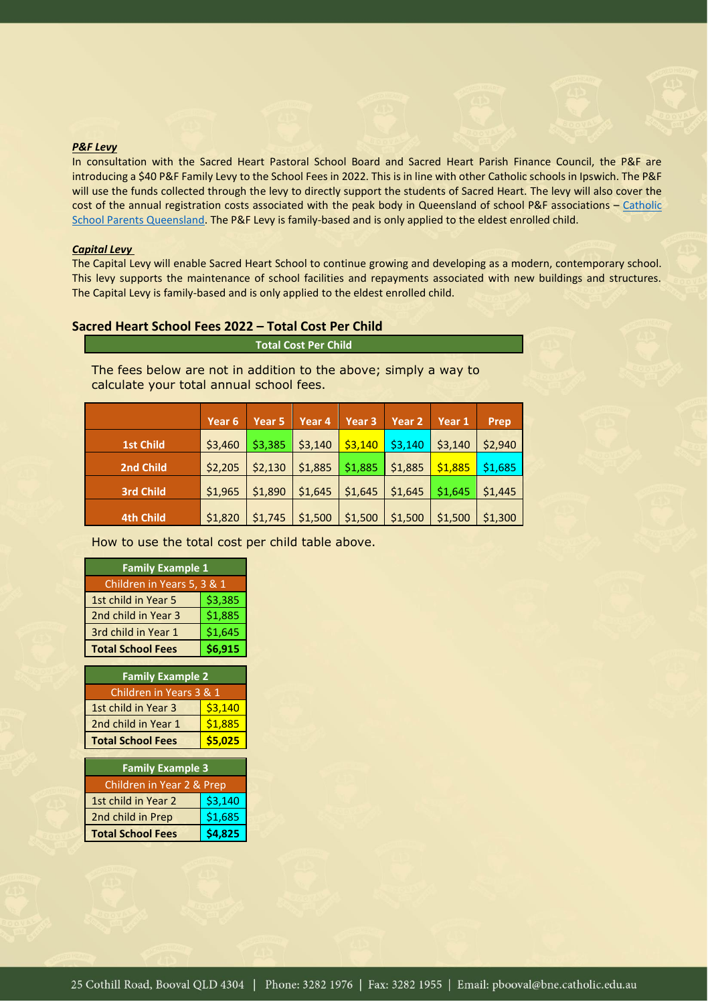#### *P&F Levy*

In consultation with the Sacred Heart Pastoral School Board and Sacred Heart Parish Finance Council, the P&F are introducing a \$40 P&F Family Levy to the School Fees in 2022. This is in line with other Catholic schools in Ipswich. The P&F will use the funds collected through the levy to directly support the students of Sacred Heart. The levy will also cover the cost of the annual registration costs associated with the peak body in Queensland of school P&F associations – [Catholic](https://www.pandf.org.au/)  [School Parents Queensland.](https://www.pandf.org.au/) The P&F Levy is family-based and is only applied to the eldest enrolled child.

#### *Capital Levy*

The Capital Levy will enable Sacred Heart School to continue growing and developing as a modern, contemporary school. This levy supports the maintenance of school facilities and repayments associated with new buildings and structures. The Capital Levy is family-based and is only applied to the eldest enrolled child.

# **Sacred Heart School Fees 2022 – Total Cost Per Child**

| The fees below are not in addition to the above; simply a way to<br>calculate your total annual school fees. |                   |                   |         |                   |                   |         |         |
|--------------------------------------------------------------------------------------------------------------|-------------------|-------------------|---------|-------------------|-------------------|---------|---------|
|                                                                                                              | Year <sub>6</sub> | Year <sub>5</sub> | Year 4  | Year <sub>3</sub> | Year <sub>2</sub> | Year 1  | Prep    |
| <b>1st Child</b>                                                                                             | \$3,460           | \$3,385           | \$3,140 | \$3,140           | \$3,140           | \$3,140 | \$2,940 |
| 2nd Child                                                                                                    | \$2,205           | \$2,130           | \$1,885 | \$1,885           | \$1,885           | \$1,885 | \$1,685 |
| 3rd Child                                                                                                    | \$1,965           | \$1,890           | \$1,645 | \$1,645           | \$1,645           | \$1,645 | \$1,445 |
| <b>4th Child</b>                                                                                             | \$1,820           | \$1,745           | \$1,500 | \$1,500           | \$1,500           | \$1,500 | \$1,300 |

**Total Cost Per Child**

How to use the total cost per child table above.

| <b>Family Example 1</b>    |         |  |
|----------------------------|---------|--|
| Children in Years 5, 3 & 1 |         |  |
| 1st child in Year 5        | \$3,385 |  |
| 2nd child in Year 3        | \$1,885 |  |
| 3rd child in Year 1        | \$1,645 |  |
| <b>Total School Fees</b>   | \$6,915 |  |
|                            |         |  |

| <b>Family Example 2</b>  |         |  |
|--------------------------|---------|--|
| Children in Years 3 & 1  |         |  |
| 1st child in Year 3      | \$3,140 |  |
| 2nd child in Year 1      | \$1,885 |  |
| <b>Total School Fees</b> | \$5,025 |  |

| <b>Family Example 3</b>   |         |  |  |  |
|---------------------------|---------|--|--|--|
| Children in Year 2 & Prep |         |  |  |  |
| 1st child in Year 2       | \$3,140 |  |  |  |
| 2nd child in Prep         | \$1,685 |  |  |  |
| <b>Total School Fees</b>  | 54,825  |  |  |  |